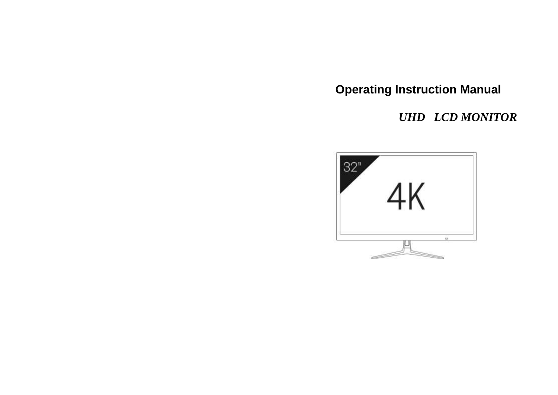**Operating Instruction Manual**

 *UHD LCD MONITOR*

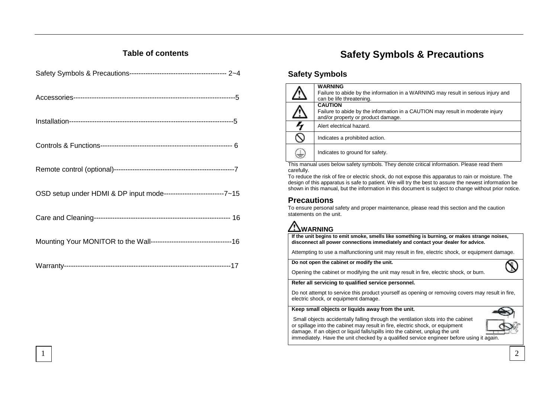## **Table of contents**

# **Safety Symbols & Precautions**

### **Safety Symbols**

|   | <b>WARNING</b><br>Failure to abide by the information in a WARNING may result in serious injury and<br>can be life threatening.        |
|---|----------------------------------------------------------------------------------------------------------------------------------------|
| Þ | <b>CAUTION</b><br>Failure to abide by the information in a CAUTION may result in moderate injury<br>and/or property or product damage. |
| 4 | Alert electrical hazard.                                                                                                               |
| ↷ | Indicates a prohibited action.                                                                                                         |
| ₩ | Indicates to ground for safety.                                                                                                        |

This manual uses below safety symbols. They denote critical information. Please read them carefully.

To reduce the risk of fire or electric shock, do not expose this apparatus to rain or moisture. The design of this apparatus is safe to patient. We will try the best to assure the newest information be shown in this manual, but the information in this document is subject to change without prior notice.

### **Precautions**

To ensure personal safety and proper maintenance, please read this section and the caution statements on the unit.

# **WARNING**

**If the unit begins to emit smoke, smells like something is burning, or makes strange noises, disconnect all power connections immediately and contact your dealer for advice.**

Attempting to use a malfunctioning unit may result in fire, electric shock, or equipment damage.

**Do not open the cabinet or modify the unit.**

Opening the cabinet or modifying the unit may result in fire, electric shock, or burn.

#### **Refer all servicing to qualified service personnel.**

Do not attempt to service this product yourself as opening or removing covers may result in fire, electric shock, or equipment damage.

#### **Keep small objects or liquids away from the unit.**

Small objects accidentally falling through the ventilation slots into the cabinet or spillage into the cabinet may result in fire, electric shock, or equipment damage. If an object or liquid falls/spills into the cabinet, unplug the unit immediately. Have the unit checked by a qualified service engineer before using it again.

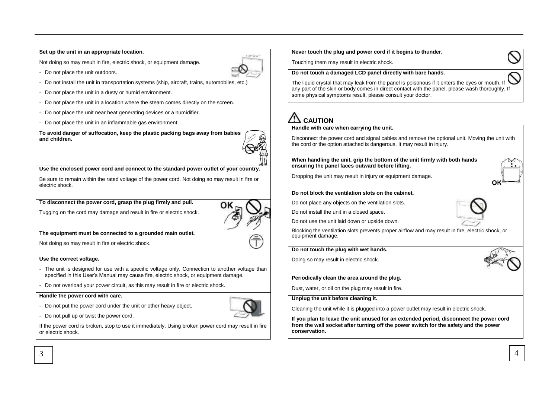#### **Set up the unit in an appropriate location.**

Not doing so may result in fire, electric shock, or equipment damage.



- Do not place the unit outdoors.

- Do not install the unit in transportation systems (ship, aircraft, trains, automobiles, etc.)
- Do not place the unit in a dusty or humid environment.
- Do not place the unit in a location where the steam comes directly on the screen.
- Do not place the unit near heat generating devices or a humidifier.
- Do not place the unit in an inflammable gas environment.

**To avoid danger of suffocation, keep the plastic packing bags away from babies and children.**



#### **Use the enclosed power cord and connect to the standard power outlet of your country.**

Be sure to remain within the rated voltage of the power cord. Not doing so may result in fire or electric shock.

#### **To disconnect the power cord, grasp the plug firmly and pull.**

Tugging on the cord may damage and result in fire or electric shock.

#### **The equipment must be connected to a grounded main outlet.**

Not doing so may result in fire or electric shock.

#### **Use the correct voltage.**

- The unit is designed for use with a specific voltage only. Connection to another voltage than specified in this User's Manual may cause fire, electric shock, or equipment damage.
- Do not overload your power circuit, as this may result in fire or electric shock.

#### **Handle the power cord with care.**

- Do not put the power cord under the unit or other heavy object.

- Do not pull up or twist the power cord.

If the power cord is broken, stop to use it immediately. Using broken power cord may result in fire or electric shock.

**Never touch the plug and power cord if it begins to thunder.**

Touching them may result in electric shock.

#### **Do not touch a damaged LCD panel directly with bare hands.**

The liquid crystal that may leak from the panel is poisonous if it enters the eyes or mouth. If any part of the skin or body comes in direct contact with the panel, please wash thoroughly. If some physical symptoms result, please consult your doctor.

# **CAUTION**

#### **Handle with care when carrying the unit.**

Disconnect the power cord and signal cables and remove the optional unit. Moving the unit with the cord or the option attached is dangerous. It may result in injury.

**When handling the unit, grip the bottom of the unit firmly with both hands ensuring the panel faces outward before lifting.**

Dropping the unit may result in injury or equipment damage.

#### **Do not block the ventilation slots on the cabinet.**

Do not place any objects on the ventilation slots.

Do not install the unit in a closed space.

Do not use the unit laid down or upside down.

Blocking the ventilation slots prevents proper airflow and may result in fire, electric shock, or equipment damage.

#### **Do not touch the plug with wet hands.**

Doing so may result in electric shock.



**Periodically clean the area around the plug.**

Dust, water, or oil on the plug may result in fire.

#### **Unplug the unit before cleaning it.**

Cleaning the unit while it is plugged into a power outlet may result in electric shock.

**If you plan to leave the unit unused for an extended period, disconnect the power cord from the wall socket after turning off the power switch for the safety and the power conservation.**





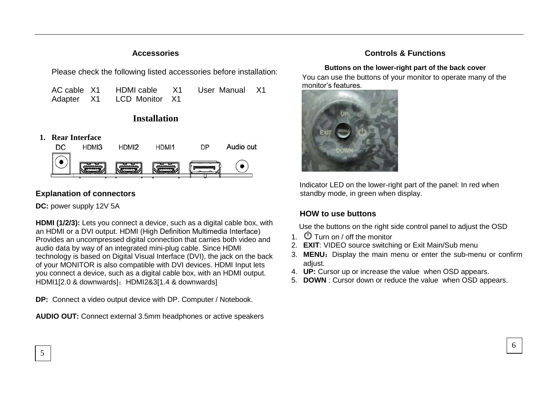### **Accessories**

Please check the following listed accessories before installation:

| AC cable X1 |                           | HDMI cable X1 User Manual X1 |  |
|-------------|---------------------------|------------------------------|--|
|             | Adapter X1 LCD Monitor X1 |                              |  |

# **Installation**

**1. Rear Interface**



# **Explanation of connectors**

**DC:** power supply 12V 5A

5

**HDMI (1/2/3):** Lets you connect a device, such as a digital cable box, with an HDMI or a DVI output. HDMI (High Definition Multimedia Interface) Provides an uncompressed digital connection that carries both video and audio data by way of an integrated mini-plug cable. Since HDMI technology is based on Digital Visual Interface (DVI), the jack on the back of your MONITOR is also compatible with DVI devices. HDMI Input lets you connect a device, such as a digital cable box, with an HDMI output. HDMI1[2.0 & downwards]; HDMI2&3[1.4 & downwards]

**DP:** Connect a video output device with DP. Computer / Notebook.

**AUDIO OUT:** Connect external 3.5mm headphones or active speakers

## **Controls & Functions**

### **Buttons on the lower-right part of the back cover**

You can use the buttons of your monitor to operate many of the monitor's features.



Indicator LED on the lower-right part of the panel: In red when standby mode, in green when display.

# **HOW to use buttons**

Use the buttons on the right side control panel to adjust the OSD

- 1.  $\Phi$  Turn on / off the monitor
- 2. **EXIT**: VIDEO source switching or Exit Main/Sub menu
- 3. **MENU:** Display the main menu or enter the sub-menu or confirm adiust.

6

- 4. **UP:** Cursor up or increase the value when OSD appears.
- 5. **DOWN** : Cursor down or reduce the value when OSD appears.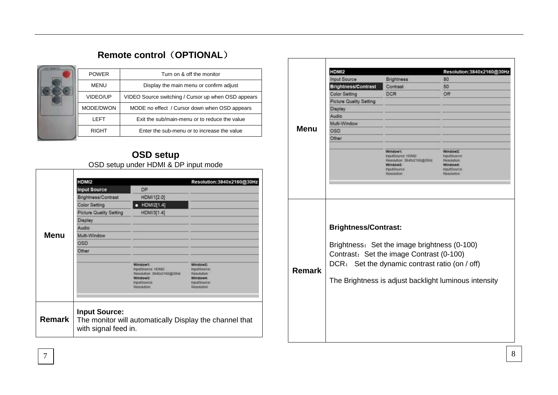# **Remote control**(**OPTIONAL**)

| Turn on & off the monitor                           |
|-----------------------------------------------------|
| Display the main menu or confirm adjust             |
| VIDEO Source switching / Cursor up when OSD appears |
| MODE no effect / Cursor down when OSD appears       |
| Exit the sub/main-menu or to reduce the value       |
| Enter the sub-menu or to increase the value         |
|                                                     |

# **OSD setup** OSD setup under HDMI & DP input mode

|               | HDMI2                                        |                                                                                                            | Resolution: 3840x2160@30Hz                                                                           |
|---------------|----------------------------------------------|------------------------------------------------------------------------------------------------------------|------------------------------------------------------------------------------------------------------|
|               | <b>Input Source</b>                          | <b>DP</b>                                                                                                  |                                                                                                      |
|               | Brightness/Contrast                          | HDMI1[2.0]                                                                                                 |                                                                                                      |
|               | <b>Color Setting</b>                         | HDMI2[1.4]                                                                                                 |                                                                                                      |
|               | <b>Picture Quality Setting</b>               | HDMI3[1.4]                                                                                                 |                                                                                                      |
|               | Display                                      |                                                                                                            |                                                                                                      |
|               | Audio                                        |                                                                                                            |                                                                                                      |
| Menu          | Multi-Window                                 |                                                                                                            |                                                                                                      |
|               | OSD                                          |                                                                                                            |                                                                                                      |
|               | Other                                        |                                                                                                            |                                                                                                      |
|               |                                              |                                                                                                            |                                                                                                      |
|               |                                              | Window1:<br>InputSource: HDM2<br>Resolution 3840x2160@30Hz<br>Windows:<br><b>InputSource</b><br>Resolution | Window <sub>2</sub> :<br><b>inputSource</b><br>Resolution<br>Window4:<br>InputSputce:<br>Resolution: |
|               |                                              |                                                                                                            |                                                                                                      |
| <b>Remark</b> | <b>Input Source:</b><br>with signal feed in. |                                                                                                            | The monitor will automatically Display the channel that                                              |

| Resolution:3840x2160@30Hz<br><b>HDMI2</b><br><b>Input Source</b><br>Brightness<br>80<br><b>Brightness/Contrast</b><br>Contrast<br>50<br><b>Color Setting</b><br><b>DCR</b><br>Off<br>Picture Quality Setting<br>Display<br>Audio<br>Multi-Window<br><b>Menu</b><br>OSD<br>Other<br>Window <sub>1</sub> :<br>Window2:<br>InputSource HDM2<br>InputSource<br>Resolution: 3840x2160@30Hz<br>Resolution:<br>Windowa:<br>Window4:<br><b>InputSource</b><br>InputSoutce:<br>Resolution:<br>Resolution:<br><b>Brightness/Contrast:</b><br>Brightness: Set the image brightness (0-100)<br>Contrast: Set the image Contrast (0-100)<br>DCR: Set the dynamic contrast ratio (on / off)<br><b>Remark</b><br>The Brightness is adjust backlight luminous intensity |  |  |
|---------------------------------------------------------------------------------------------------------------------------------------------------------------------------------------------------------------------------------------------------------------------------------------------------------------------------------------------------------------------------------------------------------------------------------------------------------------------------------------------------------------------------------------------------------------------------------------------------------------------------------------------------------------------------------------------------------------------------------------------------------|--|--|
|                                                                                                                                                                                                                                                                                                                                                                                                                                                                                                                                                                                                                                                                                                                                                         |  |  |
|                                                                                                                                                                                                                                                                                                                                                                                                                                                                                                                                                                                                                                                                                                                                                         |  |  |
|                                                                                                                                                                                                                                                                                                                                                                                                                                                                                                                                                                                                                                                                                                                                                         |  |  |
|                                                                                                                                                                                                                                                                                                                                                                                                                                                                                                                                                                                                                                                                                                                                                         |  |  |
|                                                                                                                                                                                                                                                                                                                                                                                                                                                                                                                                                                                                                                                                                                                                                         |  |  |
|                                                                                                                                                                                                                                                                                                                                                                                                                                                                                                                                                                                                                                                                                                                                                         |  |  |
|                                                                                                                                                                                                                                                                                                                                                                                                                                                                                                                                                                                                                                                                                                                                                         |  |  |
|                                                                                                                                                                                                                                                                                                                                                                                                                                                                                                                                                                                                                                                                                                                                                         |  |  |
|                                                                                                                                                                                                                                                                                                                                                                                                                                                                                                                                                                                                                                                                                                                                                         |  |  |
|                                                                                                                                                                                                                                                                                                                                                                                                                                                                                                                                                                                                                                                                                                                                                         |  |  |
|                                                                                                                                                                                                                                                                                                                                                                                                                                                                                                                                                                                                                                                                                                                                                         |  |  |
|                                                                                                                                                                                                                                                                                                                                                                                                                                                                                                                                                                                                                                                                                                                                                         |  |  |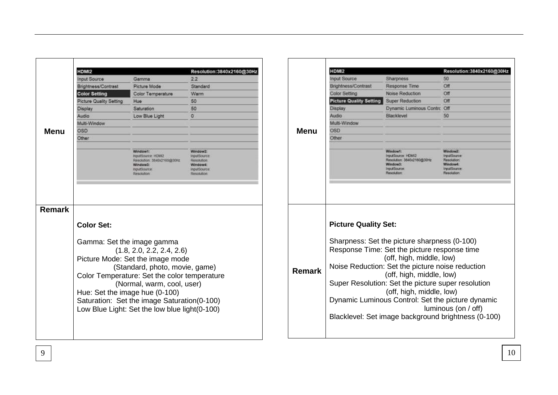|               | HDMI2                   |                                                                                                              | Resolution:3840x2160@30Hz                                                                      |
|---------------|-------------------------|--------------------------------------------------------------------------------------------------------------|------------------------------------------------------------------------------------------------|
|               | <b>Input Source</b>     | Gamma                                                                                                        | 2.2                                                                                            |
|               | Brightness/Contrast     | Picture Mode                                                                                                 | Standard                                                                                       |
|               | <b>Color Setting</b>    | Color Temperature                                                                                            | Warm                                                                                           |
|               | Picture Quality Setting | <b>Hue</b>                                                                                                   | 50                                                                                             |
|               | Display                 | Saturation                                                                                                   | 50                                                                                             |
|               | Audio                   | Low Blue Light                                                                                               | o                                                                                              |
|               | Multi-Window            |                                                                                                              |                                                                                                |
| Menu          | OSD                     |                                                                                                              |                                                                                                |
|               | Other                   |                                                                                                              |                                                                                                |
|               |                         | Windows:<br>InputSource: HDM2<br>Resolution: 3840x2160@30Hz<br>Window3:<br><b>InputSource</b><br>Resolution  | Window2:<br><b>InputSource</b><br>Resolution:<br>Windows:<br><b>InputSource</b><br>Resolution: |
|               |                         |                                                                                                              |                                                                                                |
| <b>Remark</b> | <b>Color Set:</b>       |                                                                                                              |                                                                                                |
|               |                         | Gamma: Set the image gamma<br>(1.8, 2.0, 2.2, 2.4, 2.6)<br>Picture Mode: Set the image mode                  |                                                                                                |
|               |                         | (Standard, photo, movie, game)<br>Color Temperature: Set the color temperature<br>(Normal, warm, cool, user) |                                                                                                |

|               | HDM <sub>12</sub>              |                                                                                                                                                                                                                                                                                            | Resolution: 3840x2160@30Hz                                                      |
|---------------|--------------------------------|--------------------------------------------------------------------------------------------------------------------------------------------------------------------------------------------------------------------------------------------------------------------------------------------|---------------------------------------------------------------------------------|
|               | <b>Input Source</b>            | <b>Sharpness</b>                                                                                                                                                                                                                                                                           | 50                                                                              |
|               | Brightness/Contrast            | Response Time                                                                                                                                                                                                                                                                              | Off                                                                             |
|               | Color Setting                  | Noise Reduction                                                                                                                                                                                                                                                                            | Off                                                                             |
|               | <b>Picture Quality Setting</b> | Super Reduction                                                                                                                                                                                                                                                                            | Off                                                                             |
|               | Display                        | Dynamic Luminous Contro Off                                                                                                                                                                                                                                                                |                                                                                 |
|               | Audio                          | Blackleyel                                                                                                                                                                                                                                                                                 | 50                                                                              |
|               | Multi-Window                   |                                                                                                                                                                                                                                                                                            |                                                                                 |
| Menu          | OSD                            |                                                                                                                                                                                                                                                                                            |                                                                                 |
|               | Other                          |                                                                                                                                                                                                                                                                                            |                                                                                 |
|               |                                | Window1:<br>InputSource: HDMI2<br>Resolution: 3540x2180c030Hz<br>Window3:<br>InputSource:<br>Resolution                                                                                                                                                                                    | Window2:<br>InputSource:<br>Resolution<br>Window4:<br>IrputSource:<br>Reachfion |
| <b>Remark</b> | <b>Picture Quality Set:</b>    | Sharpness: Set the picture sharpness (0-100)<br>Response Time: Set the picture response time<br>(off, high, middle, low)<br>Noise Reduction: Set the picture noise reduction<br>(off, high, middle, low)<br>Super Resolution: Set the picture super resolution<br>(off, high, middle, low) |                                                                                 |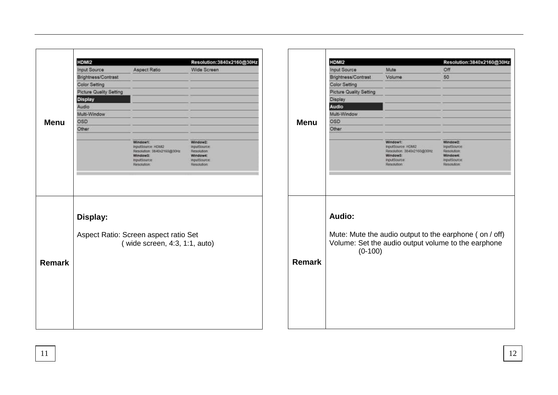|               | HDMI2                   |                                       | Resolution:3840x2160@30Hz         |
|---------------|-------------------------|---------------------------------------|-----------------------------------|
|               | <b>Input Source</b>     | <b>Aspect Ratio</b>                   | Wide Screen                       |
|               | Brightness/Contrast     |                                       |                                   |
|               | <b>Color Setting</b>    |                                       |                                   |
|               | Picture Quality Setting |                                       |                                   |
|               | <b>Display</b>          |                                       |                                   |
|               | Audio                   |                                       |                                   |
|               | Multi-Window            |                                       |                                   |
| <b>Menu</b>   | <b>OSD</b>              |                                       |                                   |
|               | Other                   |                                       |                                   |
|               |                         |                                       |                                   |
|               |                         | Windowt:<br>InputSource: HDM2         | Window2:<br><b>InputSource</b>    |
|               |                         | Resolution: 3840x2160@30Hz            | Resolution:                       |
|               |                         | Window3:                              | Window4:                          |
|               |                         | <b>InputSource</b><br>Resolution      | <b>InputSource</b><br>Resolution: |
|               |                         |                                       |                                   |
|               |                         |                                       |                                   |
|               | Display:                |                                       |                                   |
|               |                         |                                       |                                   |
|               |                         | Aspect Ratio: Screen aspect ratio Set |                                   |
|               |                         | (wide screen, 4:3, 1:1, auto)         |                                   |
|               |                         |                                       |                                   |
|               |                         |                                       |                                   |
|               |                         |                                       |                                   |
|               |                         |                                       |                                   |
|               |                         |                                       |                                   |
| <b>Remark</b> |                         |                                       |                                   |
|               |                         |                                       |                                   |

|               | HDMI2                   |                                                                                                              | Resolution:3840x2160@30Hz                                                                                     |
|---------------|-------------------------|--------------------------------------------------------------------------------------------------------------|---------------------------------------------------------------------------------------------------------------|
|               | <b>Input Source</b>     | Mute                                                                                                         | Off                                                                                                           |
|               | Brightness/Contrast     | Volume                                                                                                       | 50                                                                                                            |
|               | <b>Color Setting</b>    |                                                                                                              |                                                                                                               |
|               | Picture Quality Setting |                                                                                                              |                                                                                                               |
|               | Display                 |                                                                                                              |                                                                                                               |
|               | Audio                   |                                                                                                              |                                                                                                               |
|               | Multi-Window            |                                                                                                              |                                                                                                               |
| <b>Menu</b>   | OSD                     |                                                                                                              |                                                                                                               |
|               | Other                   |                                                                                                              |                                                                                                               |
|               |                         |                                                                                                              |                                                                                                               |
|               |                         | Windows:<br>InputSource: HDM2<br>Resolution: 3840s2160@30Hz<br>Window3:<br><b>InputSource</b><br>Resolution: | Window2:<br><b>InputSource</b><br>Resolution:<br>Window4:<br><b>InputSource</b><br>Resolution:                |
| <b>Remark</b> | Audio:<br>$(0-100)$     |                                                                                                              | Mute: Mute the audio output to the earphone (on / off)<br>Volume: Set the audio output volume to the earphone |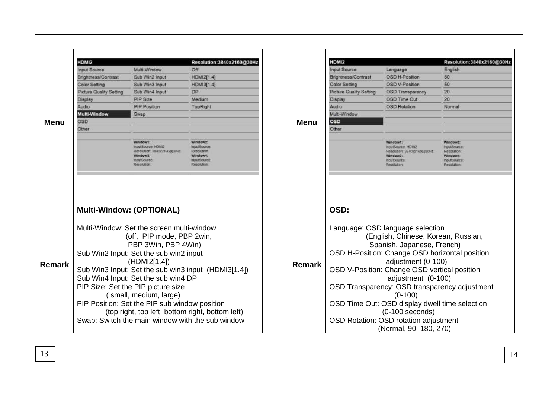| HDMI2<br>Multi-Window<br><b>Input Source</b><br>Brightness/Contrast<br>Sub Win2 Input<br>Color Setting<br>Sub Win3 Input<br>Picture Quality Setting<br>Sub Win4 Input<br>PIP Size<br>Display<br>PIP Position<br>Audio<br>Multi-Window<br>Swap<br>OSD<br><b>Menu</b><br>Other<br>Window1:<br>InputSource: HDM2<br>Window3:<br>mputSource<br>Resolution<br><b>Multi-Window: (OPTIONAL)</b><br>Multi-Window: Set the screen multi-window<br>(off, PIP mode, PBP 2win,<br>PBP 3Win, PBP 4Win)<br>Sub Win2 Input: Set the sub win2 input<br>(HDMI2[1.4])<br><b>Remark</b><br>Sub Win3 Input: Set the sub win3 input (HDMI3[1.4])<br>Sub Win4 Input: Set the sub win4 DP<br>PIP Size: Set the PIP picture size |                            |                                                                                            |
|----------------------------------------------------------------------------------------------------------------------------------------------------------------------------------------------------------------------------------------------------------------------------------------------------------------------------------------------------------------------------------------------------------------------------------------------------------------------------------------------------------------------------------------------------------------------------------------------------------------------------------------------------------------------------------------------------------|----------------------------|--------------------------------------------------------------------------------------------|
|                                                                                                                                                                                                                                                                                                                                                                                                                                                                                                                                                                                                                                                                                                          |                            | Resolution:3840x2160@30Hz                                                                  |
|                                                                                                                                                                                                                                                                                                                                                                                                                                                                                                                                                                                                                                                                                                          |                            | Off                                                                                        |
|                                                                                                                                                                                                                                                                                                                                                                                                                                                                                                                                                                                                                                                                                                          |                            | <b>HDMI2[1.4]</b>                                                                          |
|                                                                                                                                                                                                                                                                                                                                                                                                                                                                                                                                                                                                                                                                                                          |                            | HDMI3[1.4]                                                                                 |
|                                                                                                                                                                                                                                                                                                                                                                                                                                                                                                                                                                                                                                                                                                          |                            | DP                                                                                         |
|                                                                                                                                                                                                                                                                                                                                                                                                                                                                                                                                                                                                                                                                                                          |                            | Medium                                                                                     |
|                                                                                                                                                                                                                                                                                                                                                                                                                                                                                                                                                                                                                                                                                                          |                            | TopRight                                                                                   |
|                                                                                                                                                                                                                                                                                                                                                                                                                                                                                                                                                                                                                                                                                                          |                            |                                                                                            |
|                                                                                                                                                                                                                                                                                                                                                                                                                                                                                                                                                                                                                                                                                                          |                            |                                                                                            |
|                                                                                                                                                                                                                                                                                                                                                                                                                                                                                                                                                                                                                                                                                                          |                            |                                                                                            |
|                                                                                                                                                                                                                                                                                                                                                                                                                                                                                                                                                                                                                                                                                                          | Resolution 3840x2160x030Hz | Window <sub>2</sub><br>InputSource:<br>Resolution<br>Window4:<br>InputSource<br>Resolution |
| (small, medium, large)<br>PIP Position: Set the PIP sub window position<br>(top right, top left, bottom right, bottom left)                                                                                                                                                                                                                                                                                                                                                                                                                                                                                                                                                                              |                            |                                                                                            |

|               | HDMI2                                                                                                               |                                                                                                           | Resolution: 3840x2160@30Hz                                                               |  |  |
|---------------|---------------------------------------------------------------------------------------------------------------------|-----------------------------------------------------------------------------------------------------------|------------------------------------------------------------------------------------------|--|--|
| Menu          | <b>Input Source</b>                                                                                                 | Language                                                                                                  | English                                                                                  |  |  |
|               | Brightness/Contrast                                                                                                 | OSD H-Position                                                                                            | 50                                                                                       |  |  |
|               | Color Setting                                                                                                       | OSD V-Position                                                                                            | 50                                                                                       |  |  |
|               | <b>Picture Quality Setting</b>                                                                                      | OSD Transparency                                                                                          | 20                                                                                       |  |  |
|               | Display                                                                                                             | OSD Time Out                                                                                              | 20                                                                                       |  |  |
|               | Audio                                                                                                               | <b>OSD Rotation</b>                                                                                       | Normal                                                                                   |  |  |
|               | Multi-Window                                                                                                        |                                                                                                           |                                                                                          |  |  |
|               | oso                                                                                                                 |                                                                                                           |                                                                                          |  |  |
|               | Other                                                                                                               |                                                                                                           |                                                                                          |  |  |
|               |                                                                                                                     | Window1!<br>inputSource HDM2<br>Resolution: 3840x2160x930Hz<br>Window3:<br><b>InputSource</b><br>Resokaon | Window2:<br>InputSource:<br><b>Resolution</b><br>Window4:<br>InputSource:<br>Resolution: |  |  |
| <b>Remark</b> | OSD:<br>Language: OSD language selection                                                                            |                                                                                                           |                                                                                          |  |  |
|               | (English, Chinese, Korean, Russian,<br>Spanish, Japanese, French)<br>OSD H-Position: Change OSD horizontal position |                                                                                                           |                                                                                          |  |  |
|               | adjustment (0-100)<br>OSD V-Position: Change OSD vertical position<br>adjustment (0-100)                            |                                                                                                           |                                                                                          |  |  |
|               | OSD Transparency: OSD transparency adjustment<br>$(0-100)$                                                          |                                                                                                           |                                                                                          |  |  |
|               | OSD Time Out: OSD display dwell time selection<br>$(0-100$ seconds)                                                 |                                                                                                           |                                                                                          |  |  |
|               | OSD Rotation: OSD rotation adjustment<br>(Normal, 90, 180, 270)                                                     |                                                                                                           |                                                                                          |  |  |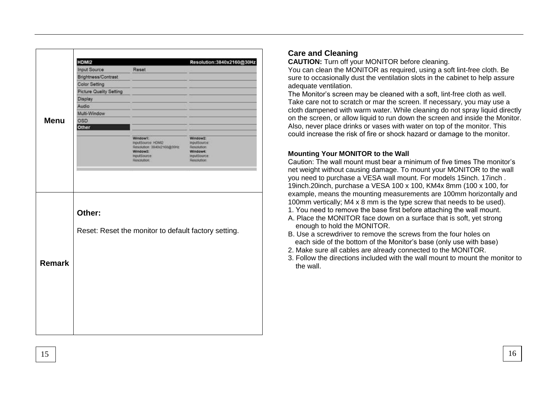|               | HDMI2                   |                                                      | Resolution:3840x2160@30Hz      |
|---------------|-------------------------|------------------------------------------------------|--------------------------------|
|               | <b>Input Source</b>     | Reset                                                |                                |
|               | Brightness/Contrast     |                                                      |                                |
|               | <b>Color Setting</b>    |                                                      |                                |
|               | Picture Quality Setting |                                                      |                                |
|               | Display                 |                                                      |                                |
|               | Audio                   |                                                      |                                |
|               | Multi-Window            |                                                      |                                |
| <b>Menu</b>   | OSD                     |                                                      |                                |
|               | Other                   |                                                      |                                |
|               |                         | Windows:<br>InputSource: HDMQ                        | Window2:<br>inputSource        |
|               |                         | Resolution: 3840x2168@30Hz                           | Resolution                     |
|               |                         | Window3:<br>InputSource:                             | Window4:<br><b>InputSource</b> |
|               |                         | Resolution.                                          | Resolution                     |
|               |                         |                                                      |                                |
|               | Other:                  |                                                      |                                |
|               |                         | Reset: Reset the monitor to default factory setting. |                                |
|               |                         |                                                      |                                |
|               |                         |                                                      |                                |
|               |                         |                                                      |                                |
|               |                         |                                                      |                                |
| <b>Remark</b> |                         |                                                      |                                |
|               |                         |                                                      |                                |
|               |                         |                                                      |                                |

# **Care and Cleaning**

**CAUTION:** Turn off your MONITOR before cleaning.

You can clean the MONITOR as required, using a soft lint-free cloth. Be sure to occasionally dust the ventilation slots in the cabinet to help assure adequate ventilation.

The Monitor's screen may be cleaned with a soft, lint-free cloth as well. Take care not to scratch or mar the screen. If necessary, you may use a cloth dampened with warm water. While cleaning do not spray liquid directly on the screen, or allow liquid to run down the screen and inside the Monitor. Also, never place drinks or vases with water on top of the monitor. This could increase the risk of fire or shock hazard or damage to the monitor.

### **Mounting Your MONITOR to the Wall**

Caution: The wall mount must bear a minimum of five times The monitor's net weight without causing damage. To mount your MONITOR to the wall you need to purchase a VESA wall mount. For models 15inch. 17inch . 19inch.20inch, purchase a VESA 100 x 100, KM4x 8mm (100 x 100, for example, means the mounting measurements are 100mm horizontally and 100mm vertically; M4 x 8 mm is the type screw that needs to be used).

- 1. You need to remove the base first before attaching the wall mount.
- A. Place the MONITOR face down on a surface that is soft, yet strong enough to hold the MONITOR.
- B. Use a screwdriver to remove the screws from the four holes on each side of the bottom of the Monitor's base (only use with base)
- 2. Make sure all cables are already connected to the MONITOR.
- 3. Follow the directions included with the wall mount to mount the monitor to the wall.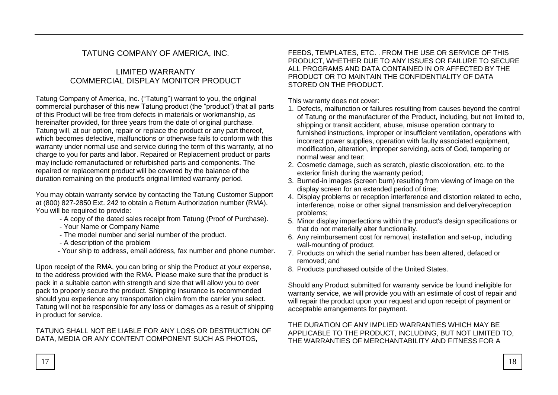# TATUNG COMPANY OF AMERICA, INC.

## LIMITED WARRANTY COMMERCIAL DISPLAY MONITOR PRODUCT

Tatung Company of America, Inc. ("Tatung") warrant to you, the original commercial purchaser of this new Tatung product (the "product") that all parts of this Product will be free from defects in materials or workmanship, as hereinafter provided, for three years from the date of original purchase. Tatung will, at our option, repair or replace the product or any part thereof, which becomes defective, malfunctions or otherwise fails to conform with this warranty under normal use and service during the term of this warranty, at no charge to you for parts and labor. Repaired or Replacement product or parts may include remanufactured or refurbished parts and components. The repaired or replacement product will be covered by the balance of the duration remaining on the product's original limited warranty period.

You may obtain warranty service by contacting the Tatung Customer Support at (800) 827-2850 Ext. 242 to obtain a Return Authorization number (RMA). You will be required to provide:

- A copy of the dated sales receipt from Tatung (Proof of Purchase).
- Your Name or Company Name
- The model number and serial number of the product.
- A description of the problem
- Your ship to address, email address, fax number and phone number.

Upon receipt of the RMA, you can bring or ship the Product at your expense, to the address provided with the RMA. Please make sure that the product is pack in a suitable carton with strength and size that will allow you to over pack to properly secure the product. Shipping insurance is recommended should you experience any transportation claim from the carrier you select. Tatung will not be responsible for any loss or damages as a result of shipping in product for service.

### TATUNG SHALL NOT BE LIABLE FOR ANY LOSS OR DESTRUCTION OF DATA, MEDIA OR ANY CONTENT COMPONENT SUCH AS PHOTOS,

FEEDS, TEMPLATES, ETC. . FROM THE USE OR SERVICE OF THIS PRODUCT, WHETHER DUE TO ANY ISSUES OR FAILURE TO SECURE ALL PROGRAMS AND DATA CONTAINED IN OR AFFECTED BY THE PRODUCT OR TO MAINTAIN THE CONFIDENTIALITY OF DATA STORED ON THE PRODUCT.

This warranty does not cover:

- 1. Defects, malfunction or failures resulting from causes beyond the control of Tatung or the manufacturer of the Product, including, but not limited to, shipping or transit accident, abuse, misuse operation contrary to furnished instructions, improper or insufficient ventilation, operations with incorrect power supplies, operation with faulty associated equipment, modification, alteration, improper servicing, acts of God, tampering or normal wear and tear;
- 2. Cosmetic damage, such as scratch, plastic discoloration, etc. to the exterior finish during the warranty period;
- 3. Burned-in images (screen burn) resulting from viewing of image on the display screen for an extended period of time;
- 4. Display problems or reception interference and distortion related to echo, interference, noise or other signal transmission and delivery/reception problems;
- 5. Minor display imperfections within the product's design specifications or that do not materially alter functionality.
- 6. Any reimbursement cost for removal, installation and set-up, including wall-mounting of product.
- 7. Products on which the serial number has been altered, defaced or removed; and
- 8. Products purchased outside of the United States.

Should any Product submitted for warranty service be found ineligible for warranty service, we will provide you with an estimate of cost of repair and will repair the product upon your request and upon receipt of payment or acceptable arrangements for payment.

### THE DURATION OF ANY IMPLIED WARRANTIES WHICH MAY BE APPLICABLE TO THE PRODUCT, INCLUDING, BUT NOT LIMITED TO, THE WARRANTIES OF MERCHANTABILITY AND FITNESS FOR A